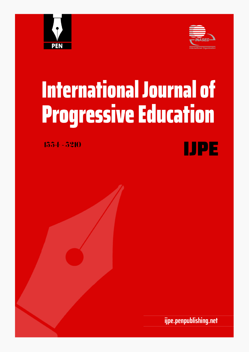



# **International Journal of Progressive Education**

1554-5210



ijpe.penpublishing.net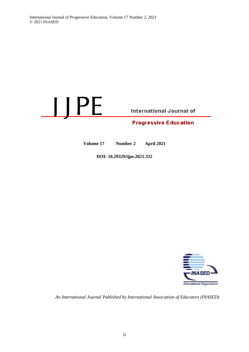## LJPE **International Journal of Progressive Education**

**Volume 17 Number 2 April 2021**

**DOI: 10.29329/ijpe.2021.332**



*An International Journal Published by International Association of Educators (INASED)*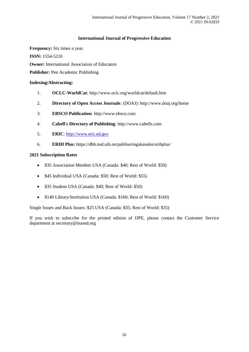#### **International Journal of Progressive Education**

**Frequency:** Six times a year. **ISSN:** 1554-5210 **Owner:** International Association of Educators Publisher: Pen Academic Publishing

#### **Indexing/Abstracting:**

- 1. **OCLC-WorldCat**: http://www.oclc.org/worldcat/default.htm
- 2. **Directory of Open Access Journals**: (DOAJ): http://www.doaj.org/home
- 3. **EBSCO Publication**: http://www.ebsco.com
- 4. **Cabell's Directory of Publishing**: http://www.cabells.com
- 5. **ERIC**: [http://www.eric.ed.gov](http://www.eric.ed.gov/)
- 6. **ERIH Plus:** https://dbh.nsd.uib.no/publiseringskanaler/erihplus/

#### **2021 Subscription Rates**

- \$35 Association Member USA (Canada: \$40; Rest of World: \$50)
- \$45 Individual USA (Canada: \$50; Rest of World: \$55)
- \$35 Student USA (Canada: \$40; Rest of World: \$50)
- \$140 Library/Institution USA (Canada: \$160; Rest of World: \$160)

Single Issues and Back Issues: \$25 USA (Canada: \$35; Rest of World: \$35)

If you wish to subscribe for the printed edition of IJPE, please contact the Customer Service department at secretary@inased.org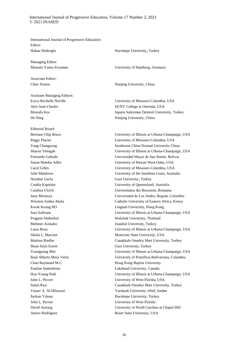International Journal of Progressive Education, Volume 17 Number 2, 2021 © 2021 INASED

International Journal of Progressive Education Editor: Hakan Dedeoglu Hacettepe University, Turkey

Managing Editor:

Associate Editor:

Assistant Managing Editors:

Editorial Board: Nezahat Guclu Gazi University, Turkey Ihsan Seyit Ertem Gazi University, Turkey

Mustafa Yunus Eryaman University of Hamburg, Germany

Chen Xinren Nanjing University, China

Eryca Rochelle Neville University of Missouri-Columbia, USA Alex Jean-Charles SUNY College at Oneonta, USA Mustafa Koc Isparta Suleyman Demirel University, Turkey He Ning Nanjing University, China

Bertram Chip Bruce University of Illinois at Urbana-Champaign, USA Peggy Placier University of Missouri-Columbia, USA Yang Changyong Southwest China Normal University China Sharon Tettegah University of Illinois at Urbana-Champaign, USA Fernando Galindo Universidad Mayor de San Simón, Bolivia Susan Matoba Adler University of Hawaii West Oahu, USA Carol Gilles University of Missouri-Columbia, USA Julie Matthews University of the Sunshine Coast, Australia Cushla Kapitzke University of Queensland, Australia Catalina Ulrich Universitatea din Bucuresti, Romania Juny Montoya Universidad de Los Andes, Bogotá, Colombia Winston Jumba Akala Catholic University of Eastern Africa, Kenya Kwok Keung HO Lingnan University, Hong Kong Sara Salloum University of Illinois at Urbana-Champaign, USA Pragasit Sitthitikul Walailak University, Thailand Mehmet Acikalin Istanbul University, Turkey Luisa Rosu University of Illinois at Urbana-Champaign, USA Sheila L. Macrine Montclair State University, USA Martina Riedler Canakkale Onsekiz Mart University, Turkey Youngyung Min University of Illinois at Urbana-Champaign, USA Raul Alberto Mora Velez University of Pontificia Bolivariana, Columbia Chan Raymond M.C. **Hong Kong Baptist University** Pauline Sameshima Lakehead University, Canada Hye-Young Park University of Illinois at Urbana-Champaign, USA John L. Pecore University of West Florida, USA Salim Razı Canakkale Onsekiz Mart University, Turkey Yasser A. Al-Hilawani Yarmouk University, Irbid, Jordan Serkan Yılmaz Hacettepe University, Turkey John L. Pecore University of West Florida David Ansong University of North Carolina at Chapel Hill Arturo Rodriguez Boise State University, USA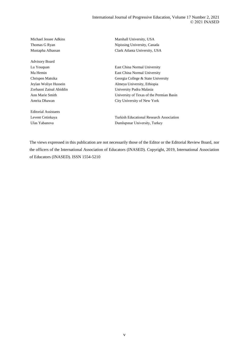Advisory Board

Editorial Assistants

Michael Jessee Adkins Marshall University, USA Thomas G Ryan Nipissing University, Canada Mustapha Alhassan Clark Atlanta University, USA

Lu Youquan East China Normal University Ma Hemin East China Normal University Chrispen Matsika Georgia College & State University Jeylan Woliye Hussein Almeya University, Ethiopia Zorhasni Zainal Abiddin University Pudra Malasia Ann Marie Smith University of Texas of the Permian Basin Amrita Dhawan City University of New York

Levent Cetinkaya Turkish Educational Research Association Ulas Yabanova Dumlupınar University, Turkey

The views expressed in this publication are not necessarily those of the Editor or the Editorial Review Board, nor the officers of the International Association of Educators (INASED). Copyright, 2019, International Association of Educators (INASED). ISSN 1554-5210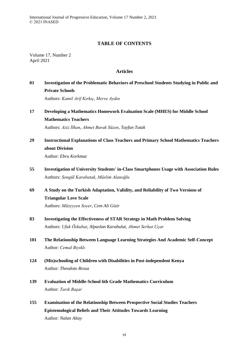International Journal of Progressive Education, Volume 17 Number 2, 2021 © 2021 INASED

#### **TABLE OF CONTENTS**

Volume 17, Number 2 April 2021

#### **Articles**

## **01 Investigation of the Problematic Behaviors of Preschool Students Studying in Public and Private Schools**

Authors: *Kamil Arif Kırkıç, Merve Aydın*

#### **17 Developing a Mathematics Homework Evaluation Scale (MHES) for Middle School Mathematics Teachers**

Authors: *Aziz İlhan, Ahmet Burak Süzen, Tayfun Tutak*

## **29 Instructional Explanations of Class Teachers and Primary School Mathematics Teachers about Division**

Author: *Ebru Korkmaz*

**55 Investigation of University Students' in-Class Smartphones Usage with Association Rules** Authors: *Songül Karabatak, Müslim Alanoğlu*

## **69 A Study on the Turkish Adaptation, Validity, and Reliability of Two Versions of Triangular Love Scale** Authors: *Müzeyyen Soyer, Cem Ali Gizir*

- **83 Investigating the Effectiveness of STAR Strategy in Math Problem Solving** Authors: *Ufuk Özkubat, Alpaslan Karabulut, Ahmet Serhat Uçar*
- **101 The Relationship Between Language Learning Strategies And Academic Self-Concept** Author: *Cemal Bıyıklı*
- **124 (Mis)schooling of Children with Disabilities in Post-independent Kenya** Author: *Theodoto Ressa*
- **139 Evaluation of Middle-School 6th Grade Mathematics Curriculum** Author: *Tarık Başar*
- **155 Examination of the Relationship Between Prospective Social Studies Teachers Epistemological Beliefs and Their Attitudes Towards Learning** Author: *Nalan Altay*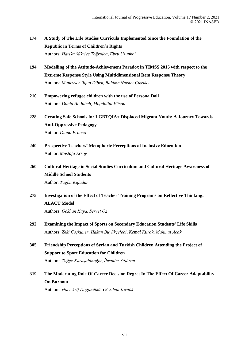### **174 A Study of The Life Studies Curricula Implemented Since the Foundation of the Republic in Terms of Children's Rights** Authors: *Harika Şükriye Toğrulca, Ebru Uzunkol*

- **194 Modelling of the Attitude-Achievement Paradox in TIMSS 2015 with respect to the Extreme Response Style Using Multidimensional Item Response Theory** Authors: *Munevver Ilgun Dibek, Rahime Nukhet Cıkrıkcı*
- **210 Empowering refugee children with the use of Persona Doll** Authors: *Dania Al-Jubeh, Magdalini Vitsou*
- **228 Creating Safe Schools for LGBTQIA+ Displaced Migrant Youth: A Journey Towards Anti-Oppressive Pedagogy** Author: *Diana Franco*
- **240 Prospective Teachers' Metaphoric Perceptions of Inclusive Education** Author: *Mustafa Ersoy*
- **260 Cultural Heritage in Social Studies Curriculum and Cultural Heritage Awareness of Middle School Students** Author: *Tuğba Kafadar*
- **275 Investigation of the Effect of Teacher Training Programs on Reflective Thinking: ALACT Model**

Authors: *Gökhan Kaya, Servet Öz*

- **292 Examining the Impact of Sports on Secondary Education Students' Life Skills** Authors: *Zeki Coşkuner, Hakan Büyükçelebi, Kemal Kurak, Mahmut Açak*
- **305 Friendship Perceptions of Syrian and Turkish Children Attending the Project of Support to Sport Education for Children** Authors: *Tuğçe Karaşahinoğlu, İbrahim Yıldıran*
- **319 The Moderating Role Of Career Decision Regret In The Effect Of Career Adaptability On Burnout**

Authors: *Hacı Arif Doğanülkü, Oğuzhan Kırdök*